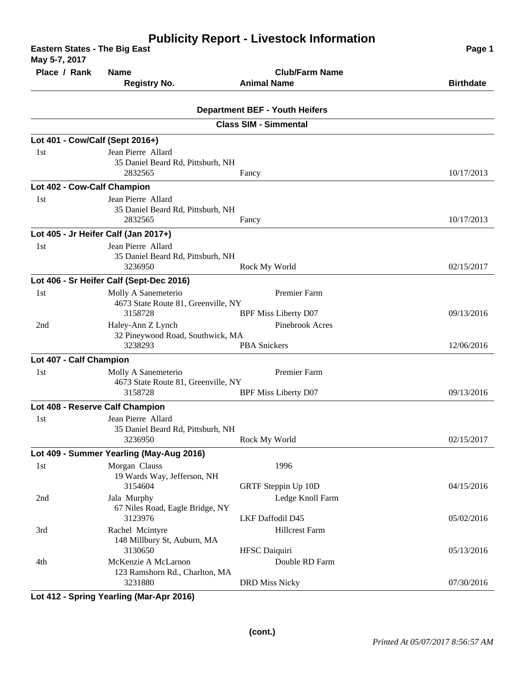| <b>Eastern States - The Big East</b><br>May 5-7, 2017 | Page 1                                                |                                       |                  |
|-------------------------------------------------------|-------------------------------------------------------|---------------------------------------|------------------|
| Place / Rank                                          | <b>Name</b>                                           | <b>Club/Farm Name</b>                 |                  |
|                                                       | <b>Registry No.</b>                                   | <b>Animal Name</b>                    | <b>Birthdate</b> |
|                                                       |                                                       |                                       |                  |
|                                                       |                                                       | <b>Department BEF - Youth Heifers</b> |                  |
|                                                       |                                                       | <b>Class SIM - Simmental</b>          |                  |
| Lot 401 - Cow/Calf (Sept 2016+)                       |                                                       |                                       |                  |
| 1st                                                   | Jean Pierre Allard                                    |                                       |                  |
|                                                       | 35 Daniel Beard Rd, Pittsburh, NH<br>2832565          | Fancy                                 | 10/17/2013       |
| Lot 402 - Cow-Calf Champion                           |                                                       |                                       |                  |
| 1st                                                   | Jean Pierre Allard                                    |                                       |                  |
|                                                       | 35 Daniel Beard Rd, Pittsburh, NH                     |                                       |                  |
|                                                       | 2832565                                               | Fancy                                 | 10/17/2013       |
|                                                       | Lot 405 - Jr Heifer Calf (Jan 2017+)                  |                                       |                  |
| 1st                                                   | Jean Pierre Allard                                    |                                       |                  |
|                                                       | 35 Daniel Beard Rd, Pittsburh, NH                     |                                       |                  |
|                                                       | 3236950                                               | Rock My World                         | 02/15/2017       |
|                                                       | Lot 406 - Sr Heifer Calf (Sept-Dec 2016)              |                                       |                  |
| 1st                                                   | Molly A Sanemeterio                                   | Premier Farm                          |                  |
|                                                       | 4673 State Route 81, Greenville, NY<br>3158728        | <b>BPF Miss Liberty D07</b>           | 09/13/2016       |
| 2nd                                                   | Haley-Ann Z Lynch                                     | Pinebrook Acres                       |                  |
|                                                       | 32 Pineywood Road, Southwick, MA                      |                                       |                  |
|                                                       | 3238293                                               | <b>PBA</b> Snickers                   | 12/06/2016       |
| Lot 407 - Calf Champion                               |                                                       |                                       |                  |
| 1st                                                   | Molly A Sanemeterio                                   | Premier Farm                          |                  |
|                                                       | 4673 State Route 81, Greenville, NY<br>3158728        | <b>BPF Miss Liberty D07</b>           | 09/13/2016       |
|                                                       | Lot 408 - Reserve Calf Champion                       |                                       |                  |
| 1st                                                   | Jean Pierre Allard                                    |                                       |                  |
|                                                       | 35 Daniel Beard Rd, Pittsburh, NH                     |                                       |                  |
|                                                       | 3236950                                               | Rock My World                         | 02/15/2017       |
|                                                       | Lot 409 - Summer Yearling (May-Aug 2016)              |                                       |                  |
| 1st                                                   | Morgan Clauss                                         | 1996                                  |                  |
|                                                       | 19 Wards Way, Jefferson, NH                           |                                       |                  |
|                                                       | 3154604                                               | GRTF Steppin Up 10D                   | 04/15/2016       |
| 2nd                                                   | Jala Murphy<br>67 Niles Road, Eagle Bridge, NY        | Ledge Knoll Farm                      |                  |
|                                                       | 3123976                                               | <b>LKF Daffodil D45</b>               | 05/02/2016       |
| 3rd                                                   | Rachel Mcintyre                                       | <b>Hillcrest Farm</b>                 |                  |
|                                                       | 148 Millbury St, Auburn, MA                           |                                       |                  |
|                                                       | 3130650                                               | <b>HFSC</b> Daiquiri                  | 05/13/2016       |
| 4th                                                   | McKenzie A McLarnon<br>123 Ramshorn Rd., Charlton, MA | Double RD Farm                        |                  |
|                                                       | 3231880                                               | <b>DRD Miss Nicky</b>                 | 07/30/2016       |

**Lot 412 - Spring Yearling (Mar-Apr 2016)**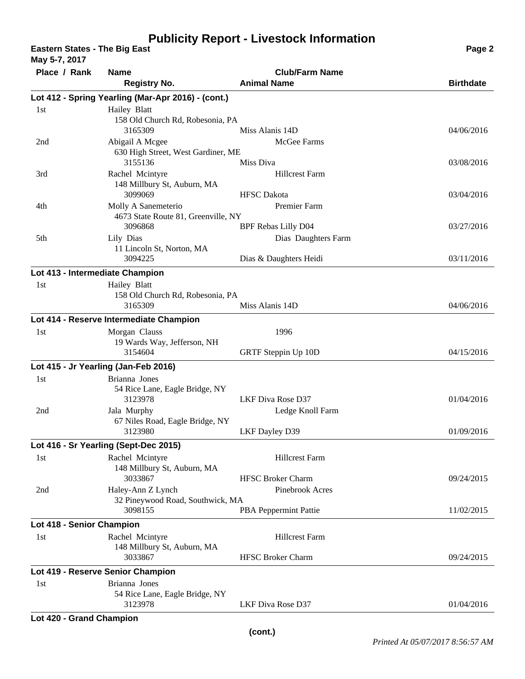## **Publicity Report - Livestock Information**

**Eastern States - The Big East Page 2 May 5-7, 2017**

| <b>Nidy 3-7, 2017</b>           |                                                                                         |                                                   |                  |
|---------------------------------|-----------------------------------------------------------------------------------------|---------------------------------------------------|------------------|
| Place / Rank                    | <b>Name</b><br><b>Registry No.</b>                                                      | <b>Club/Farm Name</b><br><b>Animal Name</b>       | <b>Birthdate</b> |
|                                 | Lot 412 - Spring Yearling (Mar-Apr 2016) - (cont.)                                      |                                                   |                  |
| 1st                             | Hailey Blatt<br>158 Old Church Rd, Robesonia, PA                                        |                                                   |                  |
| 2nd                             | 3165309<br>Abigail A Mcgee                                                              | Miss Alanis 14D<br>McGee Farms                    | 04/06/2016       |
|                                 | 630 High Street, West Gardiner, ME<br>3155136                                           | Miss Diva                                         | 03/08/2016       |
| 3rd                             | Rachel Mcintyre<br>148 Millbury St, Auburn, MA<br>3099069                               | <b>Hillcrest Farm</b><br><b>HFSC</b> Dakota       | 03/04/2016       |
| 4th                             | Molly A Sanemeterio<br>4673 State Route 81, Greenville, NY                              | Premier Farm                                      |                  |
| 5th                             | 3096868<br>Lily Dias<br>11 Lincoln St, Norton, MA                                       | <b>BPF Rebas Lilly D04</b><br>Dias Daughters Farm | 03/27/2016       |
|                                 | 3094225                                                                                 | Dias & Daughters Heidi                            | 03/11/2016       |
| Lot 413 - Intermediate Champion |                                                                                         |                                                   |                  |
| 1st                             | Hailey Blatt<br>158 Old Church Rd, Robesonia, PA<br>3165309                             | Miss Alanis 14D                                   | 04/06/2016       |
|                                 |                                                                                         |                                                   |                  |
| 1 <sub>st</sub>                 | Lot 414 - Reserve Intermediate Champion<br>Morgan Clauss<br>19 Wards Way, Jefferson, NH | 1996                                              |                  |
|                                 | 3154604                                                                                 | GRTF Steppin Up 10D                               | 04/15/2016       |
|                                 | Lot 415 - Jr Yearling (Jan-Feb 2016)                                                    |                                                   |                  |
| 1st                             | Brianna Jones<br>54 Rice Lane, Eagle Bridge, NY<br>3123978                              | LKF Diva Rose D37                                 | 01/04/2016       |
| 2nd                             | Jala Murphy<br>67 Niles Road, Eagle Bridge, NY                                          | Ledge Knoll Farm                                  |                  |
|                                 | 3123980                                                                                 | LKF Dayley D39                                    | 01/09/2016       |
|                                 | Lot 416 - Sr Yearling (Sept-Dec 2015)                                                   |                                                   |                  |
| 1st                             | Rachel Mcintyre<br>148 Millbury St, Auburn, MA                                          | <b>Hillcrest Farm</b>                             |                  |
| 2nd                             | 3033867<br>Haley-Ann Z Lynch<br>32 Pineywood Road, Southwick, MA                        | <b>HFSC Broker Charm</b><br>Pinebrook Acres       | 09/24/2015       |
|                                 | 3098155                                                                                 | PBA Peppermint Pattie                             | 11/02/2015       |
| Lot 418 - Senior Champion       |                                                                                         |                                                   |                  |
| 1st                             | Rachel Mcintyre<br>148 Millbury St, Auburn, MA                                          | <b>Hillcrest Farm</b>                             |                  |
|                                 | 3033867                                                                                 | <b>HFSC Broker Charm</b>                          | 09/24/2015       |
|                                 | Lot 419 - Reserve Senior Champion                                                       |                                                   |                  |
| 1st                             | Brianna Jones<br>54 Rice Lane, Eagle Bridge, NY<br>3123978                              | LKF Diva Rose D37                                 | 01/04/2016       |
| Lot 420 - Grand Champion        |                                                                                         |                                                   |                  |